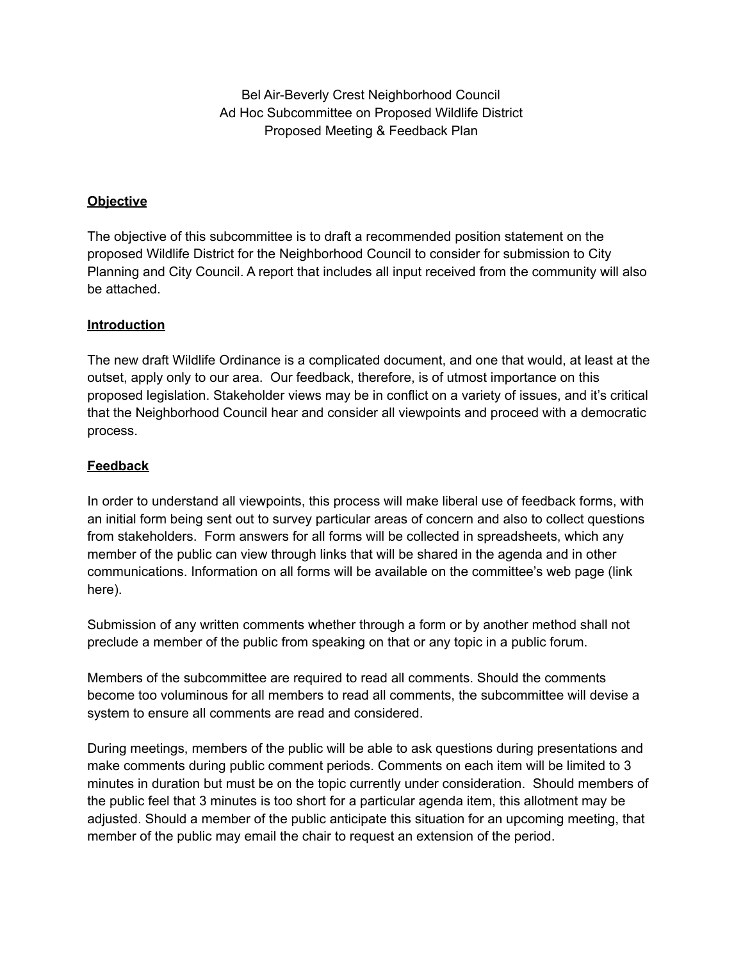Bel Air-Beverly Crest Neighborhood Council Ad Hoc Subcommittee on Proposed Wildlife District Proposed Meeting & Feedback Plan

# **Objective**

The objective of this subcommittee is to draft a recommended position statement on the proposed Wildlife District for the Neighborhood Council to consider for submission to City Planning and City Council. A report that includes all input received from the community will also be attached.

# **Introduction**

The new draft Wildlife Ordinance is a complicated document, and one that would, at least at the outset, apply only to our area. Our feedback, therefore, is of utmost importance on this proposed legislation. Stakeholder views may be in conflict on a variety of issues, and it's critical that the Neighborhood Council hear and consider all viewpoints and proceed with a democratic process.

# **Feedback**

In order to understand all viewpoints, this process will make liberal use of feedback forms, with an initial form being sent out to survey particular areas of concern and also to collect questions from stakeholders. Form answers for all forms will be collected in spreadsheets, which any member of the public can view through links that will be shared in the agenda and in other communications. Information on all forms will be available on the committee's web page (link here).

Submission of any written comments whether through a form or by another method shall not preclude a member of the public from speaking on that or any topic in a public forum.

Members of the subcommittee are required to read all comments. Should the comments become too voluminous for all members to read all comments, the subcommittee will devise a system to ensure all comments are read and considered.

During meetings, members of the public will be able to ask questions during presentations and make comments during public comment periods. Comments on each item will be limited to 3 minutes in duration but must be on the topic currently under consideration. Should members of the public feel that 3 minutes is too short for a particular agenda item, this allotment may be adjusted. Should a member of the public anticipate this situation for an upcoming meeting, that member of the public may email the chair to request an extension of the period.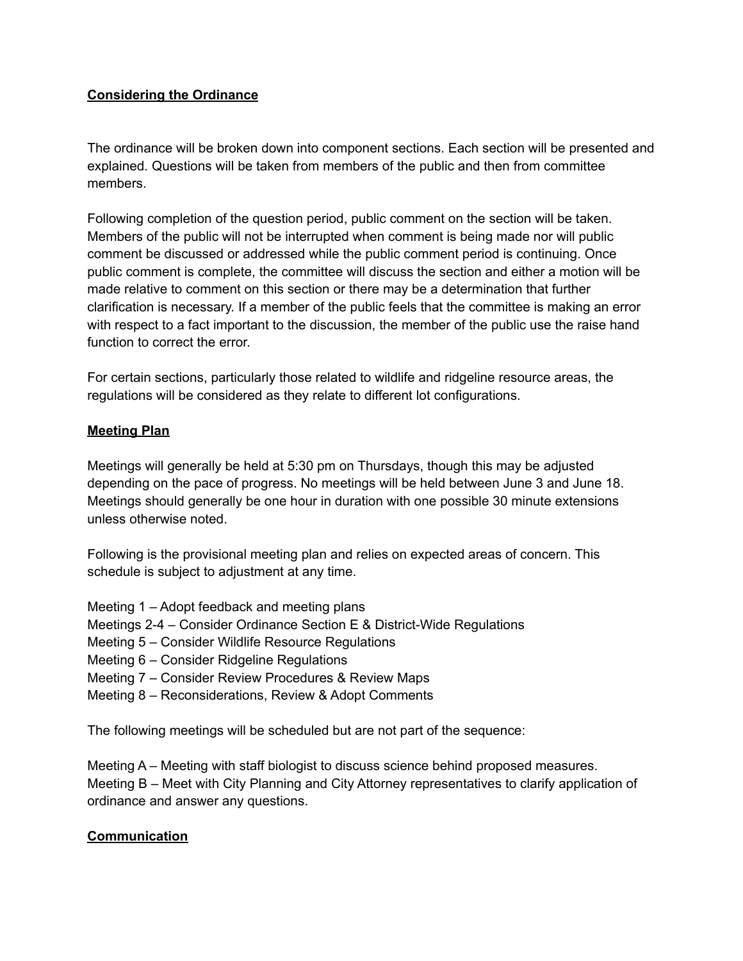# **Considering the Ordinance**

The ordinance will be broken down into component sections. Each section will be presented and explained. Questions will be taken from members of the public and then from committee members.

Following completion of the question period, public comment on the section will be taken. Members of the public will not be interrupted when comment is being made nor will public comment be discussed or addressed while the public comment period is continuing. Once public comment is complete, the committee will discuss the section and either a motion will be made relative to comment on this section or there may be a determination that further clarification is necessary. If a member of the public feels that the committee is making an error with respect to a fact important to the discussion, the member of the public use the raise hand function to correct the error.

For certain sections, particularly those related to wildlife and ridgeline resource areas, the regulations will be considered as they relate to different lot configurations.

# **Meeting Plan**

Meetings will generally be held at 5:30 pm on Thursdays, though this may be adjusted depending on the pace of progress. No meetings will be held between June 3 and June 18. Meetings should generally be one hour in duration with one possible 30 minute extensions unless otherwise noted.

Following is the provisional meeting plan and relies on expected areas of concern. This schedule is subject to adjustment at any time.

- Meeting 1 Adopt feedback and meeting plans
- Meetings 2-4 Consider Ordinance Section E & District-Wide Regulations
- Meeting 5 Consider Wildlife Resource Regulations
- Meeting 6 Consider Ridgeline Regulations
- Meeting 7 Consider Review Procedures & Review Maps
- Meeting 8 Reconsiderations, Review & Adopt Comments

The following meetings will be scheduled but are not part of the sequence:

Meeting A – Meeting with staff biologist to discuss science behind proposed measures. Meeting B – Meet with City Planning and City Attorney representatives to clarify application of ordinance and answer any questions.

### **Communication**